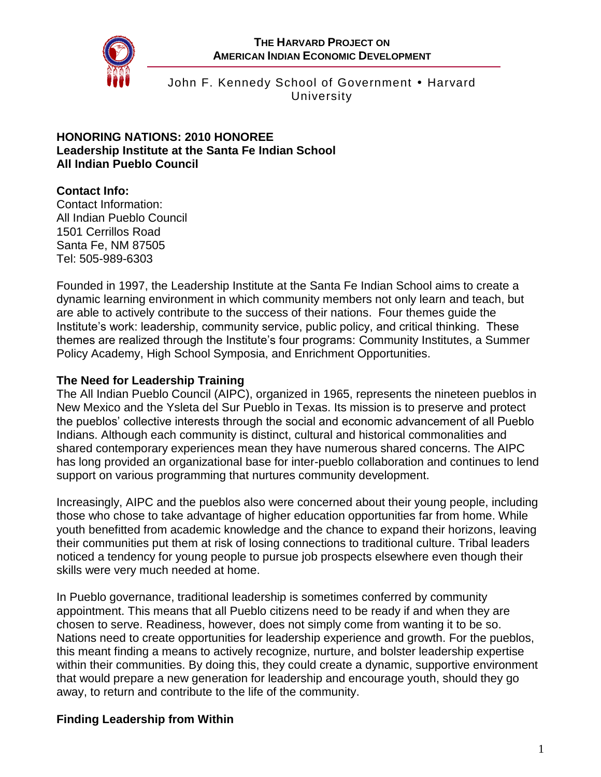

John F. Kennedy School of Government • Harvard University

#### **HONORING NATIONS: 2010 HONOREE Leadership Institute at the Santa Fe Indian School All Indian Pueblo Council**

# **Contact Info:**

Contact Information: All Indian Pueblo Council 1501 Cerrillos Road Santa Fe, NM 87505 Tel: 505-989-6303

Founded in 1997, the Leadership Institute at the Santa Fe Indian School aims to create a dynamic learning environment in which community members not only learn and teach, but are able to actively contribute to the success of their nations. Four themes guide the Institute's work: leadership, community service, public policy, and critical thinking. These themes are realized through the Institute's four programs: Community Institutes, a Summer Policy Academy, High School Symposia, and Enrichment Opportunities.

#### **The Need for Leadership Training**

The All Indian Pueblo Council (AIPC), organized in 1965, represents the nineteen pueblos in New Mexico and the Ysleta del Sur Pueblo in Texas. Its mission is to preserve and protect the pueblos' collective interests through the social and economic advancement of all Pueblo Indians. Although each community is distinct, cultural and historical commonalities and shared contemporary experiences mean they have numerous shared concerns. The AIPC has long provided an organizational base for inter-pueblo collaboration and continues to lend support on various programming that nurtures community development.

Increasingly, AIPC and the pueblos also were concerned about their young people, including those who chose to take advantage of higher education opportunities far from home. While youth benefitted from academic knowledge and the chance to expand their horizons, leaving their communities put them at risk of losing connections to traditional culture. Tribal leaders noticed a tendency for young people to pursue job prospects elsewhere even though their skills were very much needed at home.

In Pueblo governance, traditional leadership is sometimes conferred by community appointment. This means that all Pueblo citizens need to be ready if and when they are chosen to serve. Readiness, however, does not simply come from wanting it to be so. Nations need to create opportunities for leadership experience and growth. For the pueblos, this meant finding a means to actively recognize, nurture, and bolster leadership expertise within their communities. By doing this, they could create a dynamic, supportive environment that would prepare a new generation for leadership and encourage youth, should they go away, to return and contribute to the life of the community.

# **Finding Leadership from Within**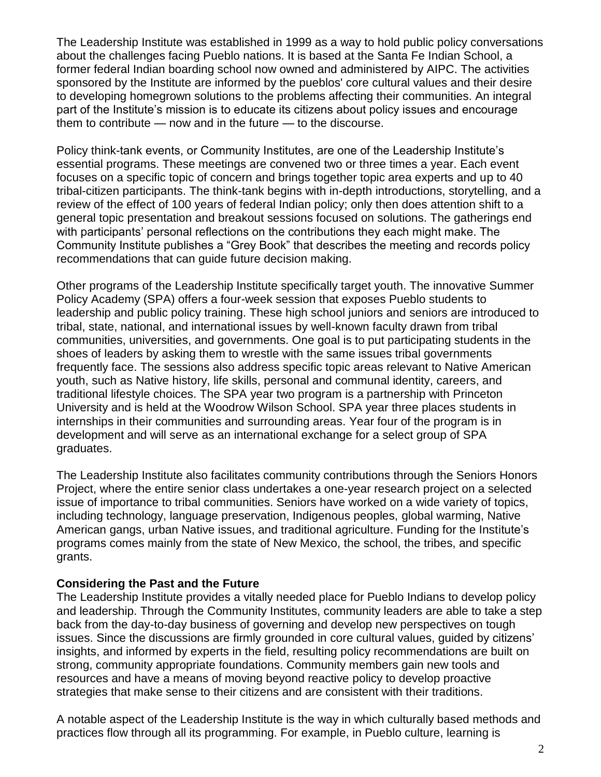The Leadership Institute was established in 1999 as a way to hold public policy conversations about the challenges facing Pueblo nations. It is based at the Santa Fe Indian School, a former federal Indian boarding school now owned and administered by AIPC. The activities sponsored by the Institute are informed by the pueblos' core cultural values and their desire to developing homegrown solutions to the problems affecting their communities. An integral part of the Institute's mission is to educate its citizens about policy issues and encourage them to contribute — now and in the future — to the discourse.

Policy think-tank events, or Community Institutes, are one of the Leadership Institute's essential programs. These meetings are convened two or three times a year. Each event focuses on a specific topic of concern and brings together topic area experts and up to 40 tribal-citizen participants. The think-tank begins with in-depth introductions, storytelling, and a review of the effect of 100 years of federal Indian policy; only then does attention shift to a general topic presentation and breakout sessions focused on solutions. The gatherings end with participants' personal reflections on the contributions they each might make. The Community Institute publishes a "Grey Book" that describes the meeting and records policy recommendations that can guide future decision making.

Other programs of the Leadership Institute specifically target youth. The innovative Summer Policy Academy (SPA) offers a four-week session that exposes Pueblo students to leadership and public policy training. These high school juniors and seniors are introduced to tribal, state, national, and international issues by well-known faculty drawn from tribal communities, universities, and governments. One goal is to put participating students in the shoes of leaders by asking them to wrestle with the same issues tribal governments frequently face. The sessions also address specific topic areas relevant to Native American youth, such as Native history, life skills, personal and communal identity, careers, and traditional lifestyle choices. The SPA year two program is a partnership with Princeton University and is held at the Woodrow Wilson School. SPA year three places students in internships in their communities and surrounding areas. Year four of the program is in development and will serve as an international exchange for a select group of SPA graduates.

The Leadership Institute also facilitates community contributions through the Seniors Honors Project, where the entire senior class undertakes a one-year research project on a selected issue of importance to tribal communities. Seniors have worked on a wide variety of topics, including technology, language preservation, Indigenous peoples, global warming, Native American gangs, urban Native issues, and traditional agriculture. Funding for the Institute's programs comes mainly from the state of New Mexico, the school, the tribes, and specific grants.

#### **Considering the Past and the Future**

The Leadership Institute provides a vitally needed place for Pueblo Indians to develop policy and leadership. Through the Community Institutes, community leaders are able to take a step back from the day-to-day business of governing and develop new perspectives on tough issues. Since the discussions are firmly grounded in core cultural values, guided by citizens' insights, and informed by experts in the field, resulting policy recommendations are built on strong, community appropriate foundations. Community members gain new tools and resources and have a means of moving beyond reactive policy to develop proactive strategies that make sense to their citizens and are consistent with their traditions.

A notable aspect of the Leadership Institute is the way in which culturally based methods and practices flow through all its programming. For example, in Pueblo culture, learning is